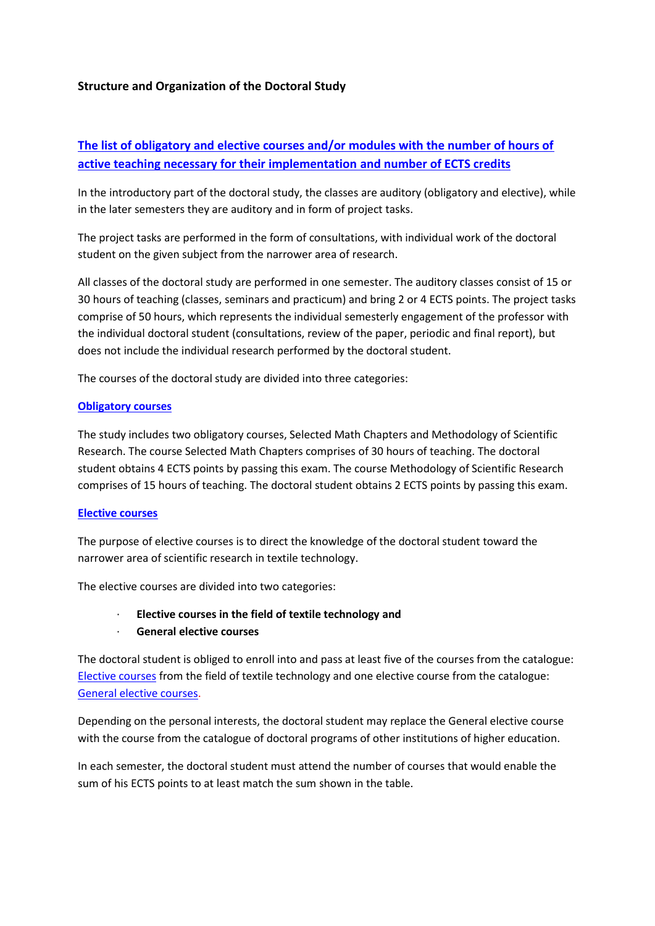### **Structure and Organization of the Doctoral Study**

# **[The list of obligatory and elective courses and/or modules with the number of hours of](http://www.ttf.unizg.hr/index.php?str=104&lang=en)  [active teaching necessary for their implementation and](http://www.ttf.unizg.hr/index.php?str=104&lang=en) number of ECTS credits**

In the introductory part of the doctoral study, the classes are auditory (obligatory and elective), while in the later semesters they are auditory and in form of project tasks.

The project tasks are performed in the form of consultations, with individual work of the doctoral student on the given subject from the narrower area of research.

All classes of the doctoral study are performed in one semester. The auditory classes consist of 15 or 30 hours of teaching (classes, seminars and practicum) and bring 2 or 4 ECTS points. The project tasks comprise of 50 hours, which represents the individual semesterly engagement of the professor with the individual doctoral student (consultations, review of the paper, periodic and final report), but does not include the individual research performed by the doctoral student.

The courses of the doctoral study are divided into three categories:

#### **[Obligatory courses](http://www.ttf.unizg.hr/index.php?str=516&lang=en)**

The study includes two obligatory courses, Selected Math Chapters and Methodology of Scientific Research. The course Selected Math Chapters comprises of 30 hours of teaching. The doctoral student obtains 4 ECTS points by passing this exam. The course Methodology of Scientific Research comprises of 15 hours of teaching. The doctoral student obtains 2 ECTS points by passing this exam.

#### **[Elective courses](http://www.ttf.unizg.hr/index.php?str=517&lang=en)**

The purpose of elective courses is to direct the knowledge of the doctoral student toward the narrower area of scientific research in textile technology.

The elective courses are divided into two categories:

- · **Elective courses in the field of textile technology and**
- · **General elective courses**

The doctoral student is obliged to enroll into and pass at least five of the courses from the catalogue: [Elective courses](http://www.ttf.unizg.hr/index.php?str=517&lang=en) from the field of textile technology and one elective course from the catalogue: [General elective courses.](http://www.ttf.unizg.hr/index.php?str=5007&lang=en)

Depending on the personal interests, the doctoral student may replace the General elective course with the course from the catalogue of doctoral programs of other institutions of higher education.

In each semester, the doctoral student must attend the number of courses that would enable the sum of his ECTS points to at least match the sum shown in the table.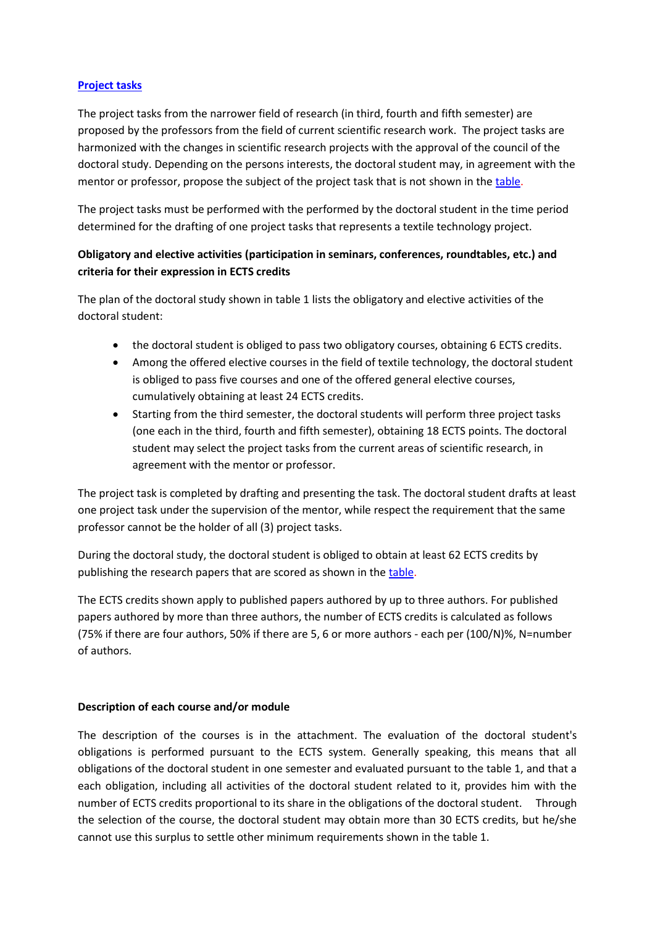### **[Project tasks](http://www.ttf.unizg.hr/index.php?str=518&lang=en)**

The project tasks from the narrower field of research (in third, fourth and fifth semester) are proposed by the professors from the field of current scientific research work. The project tasks are harmonized with the changes in scientific research projects with the approval of the council of the doctoral study. Depending on the persons interests, the doctoral student may, in agreement with the mentor or professor, propose the subject of the project task that is not shown in the [table.](http://www.ttf.unizg.hr/index.php?str=518&lang=en)

The project tasks must be performed with the performed by the doctoral student in the time period determined for the drafting of one project tasks that represents a textile technology project.

## **Obligatory and elective activities (participation in seminars, conferences, roundtables, etc.) and criteria for their expression in ECTS credits**

The plan of the doctoral study shown in table 1 lists the obligatory and elective activities of the doctoral student:

- the doctoral student is obliged to pass two obligatory courses, obtaining 6 ECTS credits.
- Among the offered elective courses in the field of textile technology, the doctoral student is obliged to pass five courses and one of the offered general elective courses, cumulatively obtaining at least 24 ECTS credits.
- Starting from the third semester, the doctoral students will perform three project tasks (one each in the third, fourth and fifth semester), obtaining 18 ECTS points. The doctoral student may select the project tasks from the current areas of scientific research, in agreement with the mentor or professor.

The project task is completed by drafting and presenting the task. The doctoral student drafts at least one project task under the supervision of the mentor, while respect the requirement that the same professor cannot be the holder of all (3) project tasks.

During the doctoral study, the doctoral student is obliged to obtain at least 62 ECTS credits by publishing the research papers that are scored as shown in the [table.](http://www.ttf.unizg.hr/index.php?str=519&lang=en)

The ECTS credits shown apply to published papers authored by up to three authors. For published papers authored by more than three authors, the number of ECTS credits is calculated as follows (75% if there are four authors, 50% if there are 5, 6 or more authors - each per (100/N)%, N=number of authors.

### **Description of each course and/or module**

The description of the courses is in the attachment. The evaluation of the doctoral student's obligations is performed pursuant to the ECTS system. Generally speaking, this means that all obligations of the doctoral student in one semester and evaluated pursuant to the table 1, and that a each obligation, including all activities of the doctoral student related to it, provides him with the number of ECTS credits proportional to its share in the obligations of the doctoral student. Through the selection of the course, the doctoral student may obtain more than 30 ECTS credits, but he/she cannot use this surplus to settle other minimum requirements shown in the table 1.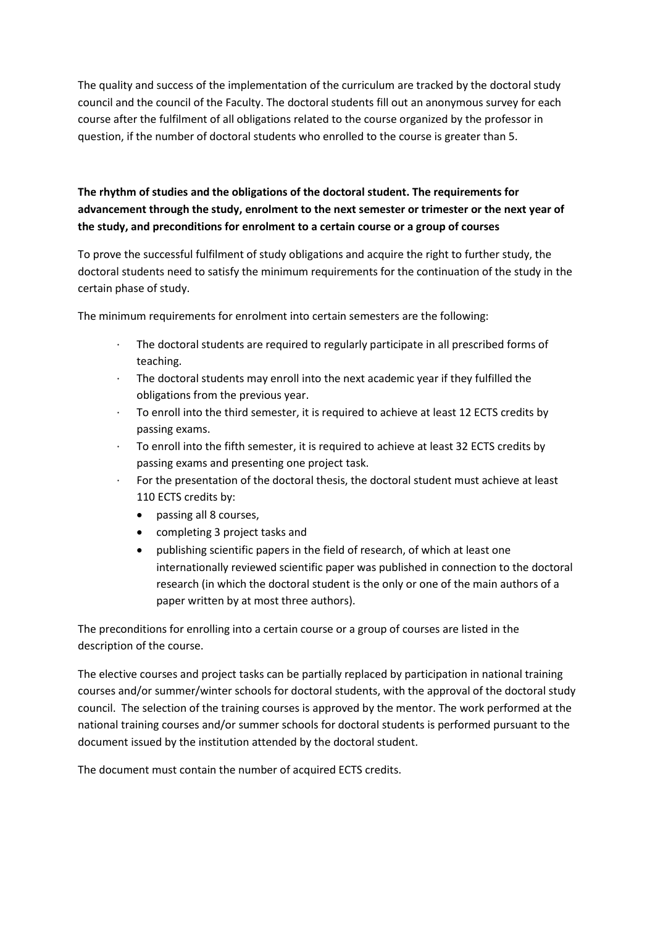The quality and success of the implementation of the curriculum are tracked by the doctoral study council and the council of the Faculty. The doctoral students fill out an anonymous survey for each course after the fulfilment of all obligations related to the course organized by the professor in question, if the number of doctoral students who enrolled to the course is greater than 5.

# **The rhythm of studies and the obligations of the doctoral student. The requirements for advancement through the study, enrolment to the next semester or trimester or the next year of the study, and preconditions for enrolment to a certain course or a group of courses**

To prove the successful fulfilment of study obligations and acquire the right to further study, the doctoral students need to satisfy the minimum requirements for the continuation of the study in the certain phase of study.

The minimum requirements for enrolment into certain semesters are the following:

- The doctoral students are required to regularly participate in all prescribed forms of teaching.
- · The doctoral students may enroll into the next academic year if they fulfilled the obligations from the previous year.
- · To enroll into the third semester, it is required to achieve at least 12 ECTS credits by passing exams.
- · To enroll into the fifth semester, it is required to achieve at least 32 ECTS credits by passing exams and presenting one project task.
- For the presentation of the doctoral thesis, the doctoral student must achieve at least 110 ECTS credits by:
	- passing all 8 courses,
	- completing 3 project tasks and
	- publishing scientific papers in the field of research, of which at least one internationally reviewed scientific paper was published in connection to the doctoral research (in which the doctoral student is the only or one of the main authors of a paper written by at most three authors).

The preconditions for enrolling into a certain course or a group of courses are listed in the description of the course.

The elective courses and project tasks can be partially replaced by participation in national training courses and/or summer/winter schools for doctoral students, with the approval of the doctoral study council. The selection of the training courses is approved by the mentor. The work performed at the national training courses and/or summer schools for doctoral students is performed pursuant to the document issued by the institution attended by the doctoral student.

The document must contain the number of acquired ECTS credits.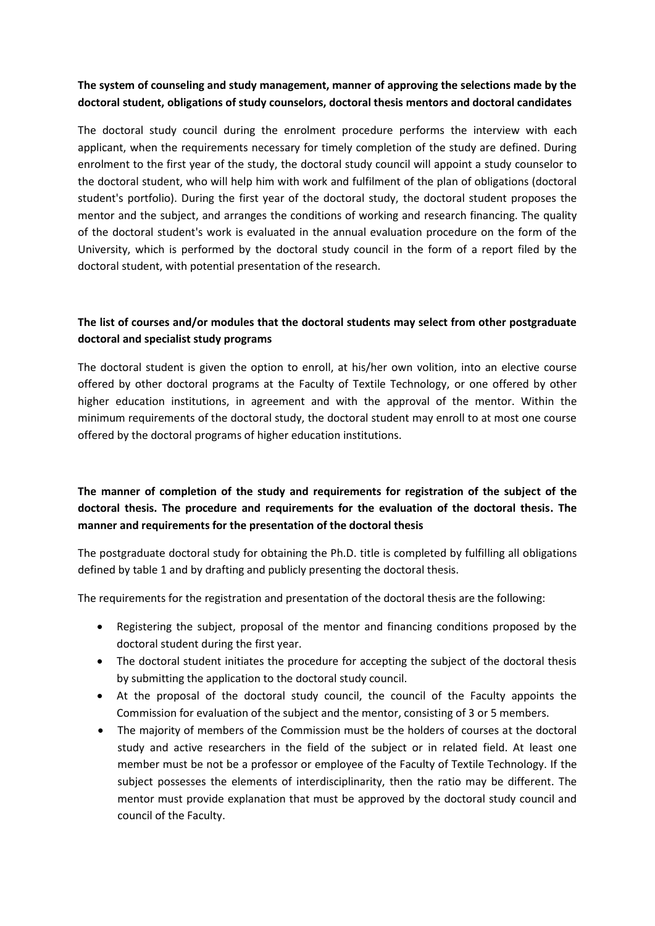## **The system of counseling and study management, manner of approving the selections made by the doctoral student, obligations of study counselors, doctoral thesis mentors and doctoral candidates**

The doctoral study council during the enrolment procedure performs the interview with each applicant, when the requirements necessary for timely completion of the study are defined. During enrolment to the first year of the study, the doctoral study council will appoint a study counselor to the doctoral student, who will help him with work and fulfilment of the plan of obligations (doctoral student's portfolio). During the first year of the doctoral study, the doctoral student proposes the mentor and the subject, and arranges the conditions of working and research financing. The quality of the doctoral student's work is evaluated in the annual evaluation procedure on the form of the University, which is performed by the doctoral study council in the form of a report filed by the doctoral student, with potential presentation of the research.

## **The list of courses and/or modules that the doctoral students may select from other postgraduate doctoral and specialist study programs**

The doctoral student is given the option to enroll, at his/her own volition, into an elective course offered by other doctoral programs at the Faculty of Textile Technology, or one offered by other higher education institutions, in agreement and with the approval of the mentor. Within the minimum requirements of the doctoral study, the doctoral student may enroll to at most one course offered by the doctoral programs of higher education institutions.

# **The manner of completion of the study and requirements for registration of the subject of the doctoral thesis. The procedure and requirements for the evaluation of the doctoral thesis. The manner and requirements for the presentation of the doctoral thesis**

The postgraduate doctoral study for obtaining the Ph.D. title is completed by fulfilling all obligations defined by table 1 and by drafting and publicly presenting the doctoral thesis.

The requirements for the registration and presentation of the doctoral thesis are the following:

- Registering the subject, proposal of the mentor and financing conditions proposed by the doctoral student during the first year.
- The doctoral student initiates the procedure for accepting the subject of the doctoral thesis by submitting the application to the doctoral study council.
- At the proposal of the doctoral study council, the council of the Faculty appoints the Commission for evaluation of the subject and the mentor, consisting of 3 or 5 members.
- The majority of members of the Commission must be the holders of courses at the doctoral study and active researchers in the field of the subject or in related field. At least one member must be not be a professor or employee of the Faculty of Textile Technology. If the subject possesses the elements of interdisciplinarity, then the ratio may be different. The mentor must provide explanation that must be approved by the doctoral study council and council of the Faculty.